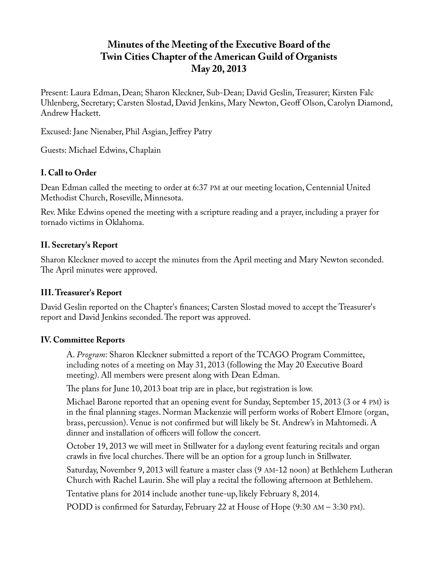# **Minutes of the Meeting of the Executive Board of the Twin Cities Chapter of the American Guild of Organists May 20, 2013**

Present: Laura Edman, Dean; Sharon Kleckner, Sub-Dean; David Geslin, Treasurer; Kirsten Falc Uhlenberg, Secretary; Carsten Slostad, David Jenkins, Mary Newton, Geoff Olson, Carolyn Diamond, Andrew Hackett.

Excused: Jane Nienaber, Phil Asgian, Jeffrey Patry

Guests: Michael Edwins, Chaplain

### **I. Call to Order**

Dean Edman called the meeting to order at 6:37 PM at our meeting location, Centennial United Methodist Church, Roseville, Minnesota.

Rev. Mike Edwins opened the meeting with a scripture reading and a prayer, including a prayer for tornado victims in Oklahoma.

#### **II. Secretary's Report**

Sharon Kleckner moved to accept the minutes from the April meeting and Mary Newton seconded. The April minutes were approved.

#### **III. Treasurer's Report**

David Geslin reported on the Chapter's finances; Carsten Slostad moved to accept the Treasurer's report and David Jenkins seconded. The report was approved.

#### **IV. Committee Reports**

A. *Program*: Sharon Kleckner submitted a report of the TCAGO Program Committee, including notes of a meeting on May 31, 2013 (following the May 20 Executive Board meeting). All members were present along with Dean Edman.

The plans for June 10, 2013 boat trip are in place, but registration is low.

Michael Barone reported that an opening event for Sunday, September 15, 2013 (3 or 4 PM) is in the final planning stages. Norman Mackenzie will perform works of Robert Elmore (organ, brass, percussion). Venue is not confirmed but will likely be St. Andrew's in Mahtomedi. A dinner and installation of officers will follow the concert.

October 19, 2013 we will meet in Stillwater for a daylong event featuring recitals and organ crawls in five local churches. There will be an option for a group lunch in Stillwater.

Saturday, November 9, 2013 will feature a master class (9 AM-12 noon) at Bethlehem Lutheran Church with Rachel Laurin. She will play a recital the following afternoon at Bethlehem.

Tentative plans for 2014 include another tune-up, likely February 8, 2014.

PODD is confirmed for Saturday, February 22 at House of Hope (9:30 AM – 3:30 PM).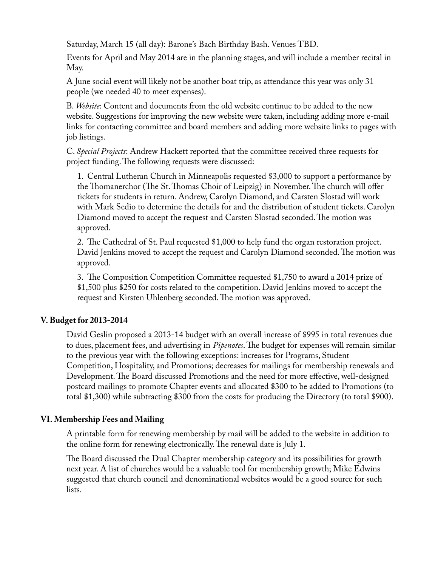Saturday, March 15 (all day): Barone's Bach Birthday Bash. Venues TBD.

Events for April and May 2014 are in the planning stages, and will include a member recital in May.

A June social event will likely not be another boat trip, as attendance this year was only 31 people (we needed 40 to meet expenses).

B. *Website*: Content and documents from the old website continue to be added to the new website. Suggestions for improving the new website were taken, including adding more e-mail links for contacting committee and board members and adding more website links to pages with job listings.

C. *Special Projects*: Andrew Hackett reported that the committee received three requests for project funding. The following requests were discussed:

1. Central Lutheran Church in Minneapolis requested \$3,000 to support a performance by the Thomanerchor (The St. Thomas Choir of Leipzig) in November. The church will offer tickets for students in return. Andrew, Carolyn Diamond, and Carsten Slostad will work with Mark Sedio to determine the details for and the distribution of student tickets. Carolyn Diamond moved to accept the request and Carsten Slostad seconded. The motion was approved.

2. The Cathedral of St. Paul requested \$1,000 to help fund the organ restoration project. David Jenkins moved to accept the request and Carolyn Diamond seconded. The motion was approved.

3. The Composition Competition Committee requested \$1,750 to award a 2014 prize of \$1,500 plus \$250 for costs related to the competition. David Jenkins moved to accept the request and Kirsten Uhlenberg seconded. The motion was approved.

#### **V. Budget for 2013-2014**

David Geslin proposed a 2013-14 budget with an overall increase of \$995 in total revenues due to dues, placement fees, and advertising in *Pipenotes*. The budget for expenses will remain similar to the previous year with the following exceptions: increases for Programs, Student Competition, Hospitality, and Promotions; decreases for mailings for membership renewals and Development. The Board discussed Promotions and the need for more effective, well-designed postcard mailings to promote Chapter events and allocated \$300 to be added to Promotions (to total \$1,300) while subtracting \$300 from the costs for producing the Directory (to total \$900).

## **VI. Membership Fees and Mailing**

A printable form for renewing membership by mail will be added to the website in addition to the online form for renewing electronically. The renewal date is July 1.

The Board discussed the Dual Chapter membership category and its possibilities for growth next year. A list of churches would be a valuable tool for membership growth; Mike Edwins suggested that church council and denominational websites would be a good source for such lists.